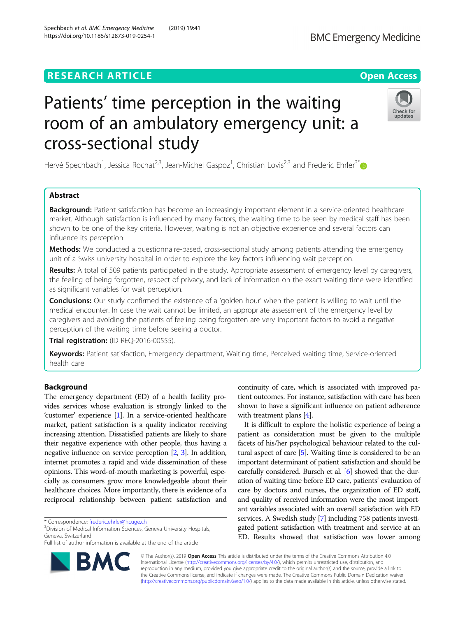# **RESEARCH ARTICLE Example 2014 12:30 The Contract of Contract ACCESS**

# Patients' time perception in the waiting room of an ambulatory emergency unit: a cross-sectional study

Hervé Spechbach<sup>1</sup>, Jessica Rochat<sup>2,3</sup>, Jean-Michel Gaspoz<sup>1</sup>, Christian Lovis<sup>2,3</sup> and Frederic Ehrler<sup>3[\\*](http://orcid.org/0000-0001-9734-3242)</sup>

# Abstract

Background: Patient satisfaction has become an increasingly important element in a service-oriented healthcare market. Although satisfaction is influenced by many factors, the waiting time to be seen by medical staff has been shown to be one of the key criteria. However, waiting is not an objective experience and several factors can influence its perception.

Methods: We conducted a questionnaire-based, cross-sectional study among patients attending the emergency unit of a Swiss university hospital in order to explore the key factors influencing wait perception.

Results: A total of 509 patients participated in the study. Appropriate assessment of emergency level by caregivers, the feeling of being forgotten, respect of privacy, and lack of information on the exact waiting time were identified as significant variables for wait perception.

**Conclusions:** Our study confirmed the existence of a 'golden hour' when the patient is willing to wait until the medical encounter. In case the wait cannot be limited, an appropriate assessment of the emergency level by caregivers and avoiding the patients of feeling being forgotten are very important factors to avoid a negative perception of the waiting time before seeing a doctor.

Trial registration: (ID REQ-2016-00555).

Keywords: Patient satisfaction, Emergency department, Waiting time, Perceived waiting time, Service-oriented health care

# Background

The emergency department (ED) of a health facility provides services whose evaluation is strongly linked to the 'customer' experience [\[1\]](#page-8-0). In a service-oriented healthcare market, patient satisfaction is a quality indicator receiving increasing attention. Dissatisfied patients are likely to share their negative experience with other people, thus having a negative influence on service perception [\[2,](#page-8-0) [3\]](#page-8-0). In addition, internet promotes a rapid and wide dissemination of these opinions. This word-of-mouth marketing is powerful, especially as consumers grow more knowledgeable about their healthcare choices. More importantly, there is evidence of a reciprocal relationship between patient satisfaction and

\* Correspondence: [frederic.ehrler@hcuge.ch](mailto:frederic.ehrler@hcuge.ch) <sup>3</sup>

<sup>3</sup>Division of Medical Information Sciences, Geneva University Hospitals, Geneva, Switzerland

© The Author(s). 2019 Open Access This article is distributed under the terms of the Creative Commons Attribution 4.0 International License [\(http://creativecommons.org/licenses/by/4.0/](http://creativecommons.org/licenses/by/4.0/)), which permits unrestricted use, distribution, and reproduction in any medium, provided you give appropriate credit to the original author(s) and the source, provide a link to the Creative Commons license, and indicate if changes were made. The Creative Commons Public Domain Dedication waiver [\(http://creativecommons.org/publicdomain/zero/1.0/](http://creativecommons.org/publicdomain/zero/1.0/)) applies to the data made available in this article, unless otherwise stated.

with treatment plans [\[4](#page-8-0)].

continuity of care, which is associated with improved patient outcomes. For instance, satisfaction with care has been shown to have a significant influence on patient adherence

It is difficult to explore the holistic experience of being a patient as consideration must be given to the multiple facets of his/her psychological behaviour related to the cultural aspect of care [\[5](#page-8-0)]. Waiting time is considered to be an important determinant of patient satisfaction and should be

and quality of received information were the most important variables associated with an overall satisfaction with ED services. A Swedish study [\[7\]](#page-8-0) including 758 patients investigated patient satisfaction with treatment and service at an ED. Results showed that satisfaction was lower among







Full list of author information is available at the end of the article

carefully considered. Bursch et al. [[6\]](#page-8-0) showed that the duration of waiting time before ED care, patients' evaluation of care by doctors and nurses, the organization of ED staff,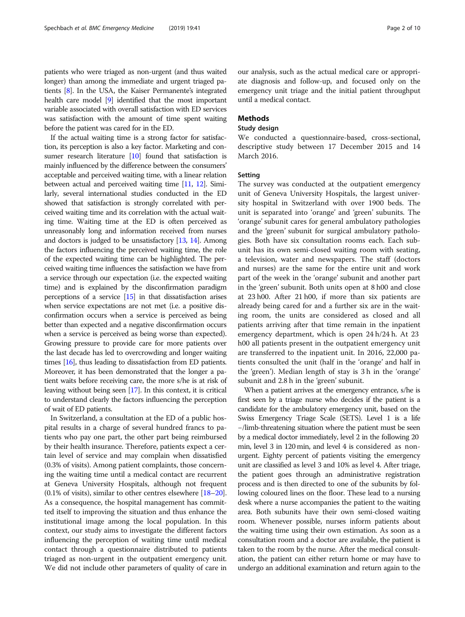patients who were triaged as non-urgent (and thus waited longer) than among the immediate and urgent triaged patients [\[8\]](#page-8-0). In the USA, the Kaiser Permanente's integrated health care model [[9](#page-8-0)] identified that the most important variable associated with overall satisfaction with ED services was satisfaction with the amount of time spent waiting before the patient was cared for in the ED.

If the actual waiting time is a strong factor for satisfaction, its perception is also a key factor. Marketing and con-sumer research literature [\[10\]](#page-8-0) found that satisfaction is mainly influenced by the difference between the consumers' acceptable and perceived waiting time, with a linear relation between actual and perceived waiting time [\[11](#page-8-0), [12\]](#page-8-0). Similarly, several international studies conducted in the ED showed that satisfaction is strongly correlated with perceived waiting time and its correlation with the actual waiting time. Waiting time at the ED is often perceived as unreasonably long and information received from nurses and doctors is judged to be unsatisfactory [[13](#page-8-0), [14\]](#page-9-0). Among the factors influencing the perceived waiting time, the role of the expected waiting time can be highlighted. The perceived waiting time influences the satisfaction we have from a service through our expectation (i.e. the expected waiting time) and is explained by the disconfirmation paradigm perceptions of a service [\[15\]](#page-9-0) in that dissatisfaction arises when service expectations are not met (i.e. a positive disconfirmation occurs when a service is perceived as being better than expected and a negative disconfirmation occurs when a service is perceived as being worse than expected). Growing pressure to provide care for more patients over the last decade has led to overcrowding and longer waiting times [\[16](#page-9-0)], thus leading to dissatisfaction from ED patients. Moreover, it has been demonstrated that the longer a patient waits before receiving care, the more s/he is at risk of leaving without being seen [\[17\]](#page-9-0). In this context, it is critical to understand clearly the factors influencing the perception of wait of ED patients.

In Switzerland, a consultation at the ED of a public hospital results in a charge of several hundred francs to patients who pay one part, the other part being reimbursed by their health insurance. Therefore, patients expect a certain level of service and may complain when dissatisfied (0.3% of visits). Among patient complaints, those concerning the waiting time until a medical contact are recurrent at Geneva University Hospitals, although not frequent (0.1% of visits), similar to other centres elsewhere [\[18](#page-9-0)–[20](#page-9-0)]. As a consequence, the hospital management has committed itself to improving the situation and thus enhance the institutional image among the local population. In this context, our study aims to investigate the different factors influencing the perception of waiting time until medical contact through a questionnaire distributed to patients triaged as non-urgent in the outpatient emergency unit. We did not include other parameters of quality of care in our analysis, such as the actual medical care or appropriate diagnosis and follow-up, and focused only on the emergency unit triage and the initial patient throughput until a medical contact.

# Methods

# Study design

We conducted a questionnaire-based, cross-sectional, descriptive study between 17 December 2015 and 14 March 2016.

# Setting

The survey was conducted at the outpatient emergency unit of Geneva University Hospitals, the largest university hospital in Switzerland with over 1900 beds. The unit is separated into 'orange' and 'green' subunits. The 'orange' subunit cares for general ambulatory pathologies and the 'green' subunit for surgical ambulatory pathologies. Both have six consultation rooms each. Each subunit has its own semi-closed waiting room with seating, a television, water and newspapers. The staff (doctors and nurses) are the same for the entire unit and work part of the week in the 'orange' subunit and another part in the 'green' subunit. Both units open at 8 h00 and close at 23 h00. After 21 h00, if more than six patients are already being cared for and a further six are in the waiting room, the units are considered as closed and all patients arriving after that time remain in the inpatient emergency department, which is open 24 h/24 h. At 23 h00 all patients present in the outpatient emergency unit are transferred to the inpatient unit. In 2016, 22,000 patients consulted the unit (half in the 'orange' and half in the 'green'). Median length of stay is 3 h in the 'orange' subunit and 2.8 h in the 'green' subunit.

When a patient arrives at the emergency entrance, s/he is first seen by a triage nurse who decides if the patient is a candidate for the ambulatory emergency unit, based on the Swiss Emergency Triage Scale (SETS). Level 1 is a life −/limb-threatening situation where the patient must be seen by a medical doctor immediately, level 2 in the following 20 min, level 3 in 120 min, and level 4 is considered as nonurgent. Eighty percent of patients visiting the emergency unit are classified as level 3 and 10% as level 4. After triage, the patient goes through an administrative registration process and is then directed to one of the subunits by following coloured lines on the floor. These lead to a nursing desk where a nurse accompanies the patient to the waiting area. Both subunits have their own semi-closed waiting room. Whenever possible, nurses inform patients about the waiting time using their own estimation. As soon as a consultation room and a doctor are available, the patient is taken to the room by the nurse. After the medical consultation, the patient can either return home or may have to undergo an additional examination and return again to the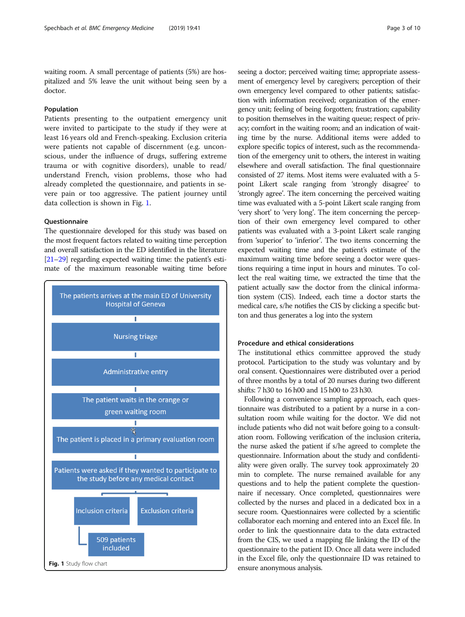waiting room. A small percentage of patients (5%) are hospitalized and 5% leave the unit without being seen by a doctor.

# Population

Patients presenting to the outpatient emergency unit were invited to participate to the study if they were at least 16 years old and French-speaking. Exclusion criteria were patients not capable of discernment (e.g. unconscious, under the influence of drugs, suffering extreme trauma or with cognitive disorders), unable to read/ understand French, vision problems, those who had already completed the questionnaire, and patients in severe pain or too aggressive. The patient journey until data collection is shown in Fig. 1.

# **Questionnaire**

The questionnaire developed for this study was based on the most frequent factors related to waiting time perception and overall satisfaction in the ED identified in the literature [[21](#page-9-0)–[29](#page-9-0)] regarding expected waiting time: the patient's estimate of the maximum reasonable waiting time before



seeing a doctor; perceived waiting time; appropriate assessment of emergency level by caregivers; perception of their own emergency level compared to other patients; satisfaction with information received; organization of the emergency unit; feeling of being forgotten; frustration; capability to position themselves in the waiting queue; respect of privacy; comfort in the waiting room; and an indication of waiting time by the nurse. Additional items were added to explore specific topics of interest, such as the recommendation of the emergency unit to others, the interest in waiting elsewhere and overall satisfaction. The final questionnaire consisted of 27 items. Most items were evaluated with a 5 point Likert scale ranging from 'strongly disagree' to 'strongly agree'. The item concerning the perceived waiting time was evaluated with a 5-point Likert scale ranging from 'very short' to 'very long'. The item concerning the perception of their own emergency level compared to other patients was evaluated with a 3-point Likert scale ranging from 'superior' to 'inferior'. The two items concerning the expected waiting time and the patient's estimate of the maximum waiting time before seeing a doctor were questions requiring a time input in hours and minutes. To collect the real waiting time, we extracted the time that the patient actually saw the doctor from the clinical information system (CIS). Indeed, each time a doctor starts the medical care, s/he notifies the CIS by clicking a specific button and thus generates a log into the system

## Procedure and ethical considerations

The institutional ethics committee approved the study protocol. Participation to the study was voluntary and by oral consent. Questionnaires were distributed over a period of three months by a total of 20 nurses during two different shifts: 7 h30 to 16 h00 and 15 h00 to 23 h30.

Following a convenience sampling approach, each questionnaire was distributed to a patient by a nurse in a consultation room while waiting for the doctor. We did not include patients who did not wait before going to a consultation room. Following verification of the inclusion criteria, the nurse asked the patient if s/he agreed to complete the questionnaire. Information about the study and confidentiality were given orally. The survey took approximately 20 min to complete. The nurse remained available for any questions and to help the patient complete the questionnaire if necessary. Once completed, questionnaires were collected by the nurses and placed in a dedicated box in a secure room. Questionnaires were collected by a scientific collaborator each morning and entered into an Excel file. In order to link the questionnaire data to the data extracted from the CIS, we used a mapping file linking the ID of the questionnaire to the patient ID. Once all data were included in the Excel file, only the questionnaire ID was retained to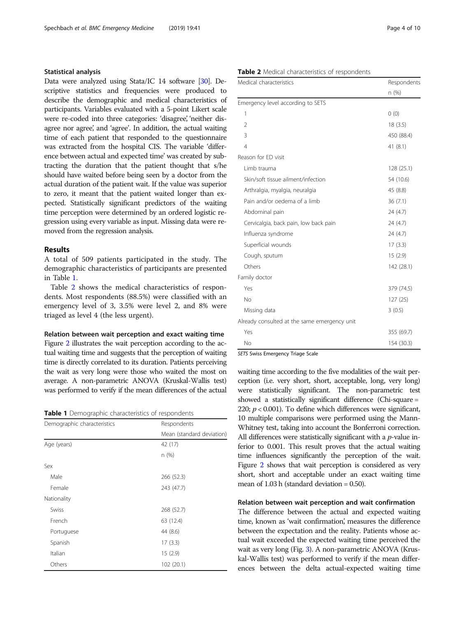## Statistical analysis

Data were analyzed using Stata/IC 14 software [\[30](#page-9-0)]. Descriptive statistics and frequencies were produced to describe the demographic and medical characteristics of participants. Variables evaluated with a 5-point Likert scale were re-coded into three categories: 'disagree', 'neither disagree nor agree', and 'agree'. In addition, the actual waiting time of each patient that responded to the questionnaire was extracted from the hospital CIS. The variable 'difference between actual and expected time' was created by subtracting the duration that the patient thought that s/he should have waited before being seen by a doctor from the actual duration of the patient wait. If the value was superior to zero, it meant that the patient waited longer than expected. Statistically significant predictors of the waiting time perception were determined by an ordered logistic regression using every variable as input. Missing data were removed from the regression analysis.

# Results

A total of 509 patients participated in the study. The demographic characteristics of participants are presented in Table 1.

Table 2 shows the medical characteristics of respondents. Most respondents (88.5%) were classified with an emergency level of 3, 3.5% were level 2, and 8% were triaged as level 4 (the less urgent).

#### Relation between wait perception and exact waiting time

Figure [2](#page-4-0) illustrates the wait perception according to the actual waiting time and suggests that the perception of waiting time is directly correlated to its duration. Patients perceiving the wait as very long were those who waited the most on average. A non-parametric ANOVA (Kruskal-Wallis test) was performed to verify if the mean differences of the actual

|  |  | Table 1 Demographic characteristics of respondents |  |  |  |
|--|--|----------------------------------------------------|--|--|--|
|--|--|----------------------------------------------------|--|--|--|

| Demographic characteristics | Respondents               |
|-----------------------------|---------------------------|
|                             | Mean (standard deviation) |
| Age (years)                 | 42 (17)                   |
|                             | n(%)                      |
| Sex                         |                           |
| Male                        | 266 (52.3)                |
| Female                      | 243 (47.7)                |
| Nationality                 |                           |
| Swiss                       | 268 (52.7)                |
| French                      | 63 (12.4)                 |
| Portuguese                  | 44 (8.6)                  |
| Spanish                     | 17(3.3)                   |
| Italian                     | 15(2.9)                   |
| Others                      | 102 (20.1)                |

## Table 2 Medical characteristics of respondents

| Medical characteristics                      | Respondents |  |  |
|----------------------------------------------|-------------|--|--|
|                                              | n (%)       |  |  |
| Emergency level according to SETS            |             |  |  |
| 1                                            | 0(0)        |  |  |
| $\mathfrak{D}$                               | 18(3.5)     |  |  |
| 3                                            | 450 (88.4)  |  |  |
| 4                                            | 41(8.1)     |  |  |
| Reason for ED visit                          |             |  |  |
| Limb trauma                                  | 128 (25.1)  |  |  |
| Skin/soft tissue ailment/infection           | 54 (10.6)   |  |  |
| Arthralgia, myalgia, neuralgia               | 45 (8.8)    |  |  |
| Pain and/or oedema of a limb                 | 36(7.1)     |  |  |
| Abdominal pain                               | 24 (4.7)    |  |  |
| Cervicalgia, back pain, low back pain        | 24 (4.7)    |  |  |
| Influenza syndrome                           | 24 (4.7)    |  |  |
| Superficial wounds                           | 17(3.3)     |  |  |
| Cough, sputum                                | 15(2.9)     |  |  |
| Others                                       | 142 (28.1)  |  |  |
| Family doctor                                |             |  |  |
| Yes                                          | 379 (74.5)  |  |  |
| No                                           | 127 (25)    |  |  |
| Missing data                                 | 3(0.5)      |  |  |
| Already consulted at the same emergency unit |             |  |  |
| Yes                                          | 355 (69.7)  |  |  |
| No                                           | 154 (30.3)  |  |  |

SETS Swiss Emergency Triage Scale

waiting time according to the five modalities of the wait perception (i.e. very short, short, acceptable, long, very long) were statistically significant. The non-parametric test showed a statistically significant difference (Chi-square = 220;  $p < 0.001$ ). To define which differences were significant, 10 multiple comparisons were performed using the Mann-Whitney test, taking into account the Bonferroni correction. All differences were statistically significant with a *p*-value inferior to 0.001. This result proves that the actual waiting time influences significantly the perception of the wait. Figure [2](#page-4-0) shows that wait perception is considered as very short, short and acceptable under an exact waiting time mean of  $1.03$  h (standard deviation = 0.50).

## Relation between wait perception and wait confirmation

The difference between the actual and expected waiting time, known as 'wait confirmation', measures the difference between the expectation and the reality. Patients whose actual wait exceeded the expected waiting time perceived the wait as very long (Fig. [3](#page-4-0)). A non-parametric ANOVA (Kruskal-Wallis test) was performed to verify if the mean differences between the delta actual-expected waiting time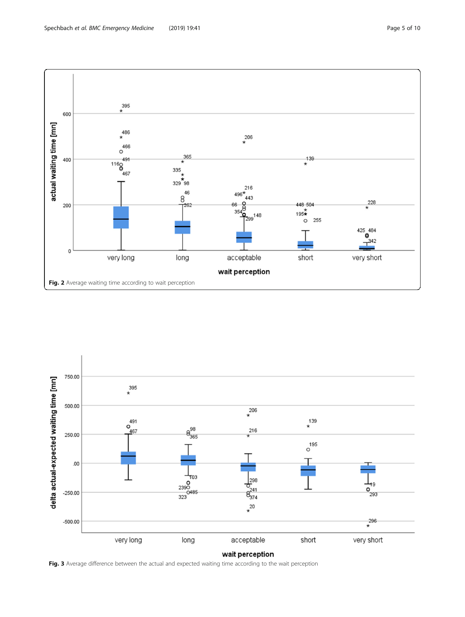Fig. 3 Average difference between the actual and expected waiting time according to the wait perception



<span id="page-4-0"></span>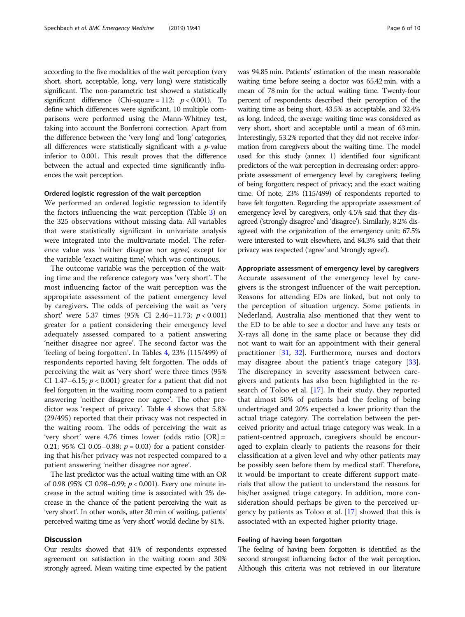according to the five modalities of the wait perception (very short, short, acceptable, long, very long) were statistically significant. The non-parametric test showed a statistically significant difference (Chi-square = 112;  $p < 0.001$ ). To define which differences were significant, 10 multiple comparisons were performed using the Mann-Whitney test, taking into account the Bonferroni correction. Apart from the difference between the 'very long' and 'long' categories, all differences were statistically significant with a  $p$ -value inferior to 0.001. This result proves that the difference between the actual and expected time significantly influences the wait perception.

# Ordered logistic regression of the wait perception

We performed an ordered logistic regression to identify the factors influencing the wait perception (Table [3](#page-6-0)) on the 325 observations without missing data. All variables that were statistically significant in univariate analysis were integrated into the multivariate model. The reference value was 'neither disagree nor agree', except for the variable 'exact waiting time', which was continuous.

The outcome variable was the perception of the waiting time and the reference category was 'very short'. The most influencing factor of the wait perception was the appropriate assessment of the patient emergency level by caregivers. The odds of perceiving the wait as 'very short' were 5.37 times (95% CI 2.46-11.73;  $p < 0.001$ ) greater for a patient considering their emergency level adequately assessed compared to a patient answering 'neither disagree nor agree'. The second factor was the 'feeling of being forgotten'. In Tables [4](#page-6-0), 23% (115/499) of respondents reported having felt forgotten. The odds of perceiving the wait as 'very short' were three times (95% CI 1.47–6.15;  $p < 0.001$ ) greater for a patient that did not feel forgotten in the waiting room compared to a patient answering 'neither disagree nor agree'. The other predictor was 'respect of privacy'. Table [4](#page-6-0) shows that 5.8% (29/495) reported that their privacy was not respected in the waiting room. The odds of perceiving the wait as 'very short' were 4.76 times lower (odds ratio [OR] = 0.21; 95% CI 0.05–0.88;  $p = 0.03$ ) for a patient considering that his/her privacy was not respected compared to a patient answering 'neither disagree nor agree'.

The last predictor was the actual waiting time with an OR of 0.98 (95% CI 0.98–0.99;  $p < 0.001$ ). Every one minute increase in the actual waiting time is associated with 2% decrease in the chance of the patient perceiving the wait as 'very short'. In other words, after 30 min of waiting, patients' perceived waiting time as 'very short' would decline by 81%.

# **Discussion**

Our results showed that 41% of respondents expressed agreement on satisfaction in the waiting room and 30% strongly agreed. Mean waiting time expected by the patient was 94.85 min. Patients' estimation of the mean reasonable waiting time before seeing a doctor was 65.42 min, with a mean of 78 min for the actual waiting time. Twenty-four percent of respondents described their perception of the waiting time as being short, 43.5% as acceptable, and 32.4% as long. Indeed, the average waiting time was considered as very short, short and acceptable until a mean of 63 min. Interestingly, 53.2% reported that they did not receive information from caregivers about the waiting time. The model used for this study (annex 1) identified four significant predictors of the wait perception in decreasing order: appropriate assessment of emergency level by caregivers; feeling of being forgotten; respect of privacy; and the exact waiting time. Of note, 23% (115/499) of respondents reported to have felt forgotten. Regarding the appropriate assessment of emergency level by caregivers, only 4.5% said that they disagreed ('strongly disagree' and 'disagree'). Similarly, 8.2% disagreed with the organization of the emergency unit; 67.5% were interested to wait elsewhere, and 84.3% said that their privacy was respected ('agree' and 'strongly agree').

#### Appropriate assessment of emergency level by caregivers

Accurate assessment of the emergency level by caregivers is the strongest influencer of the wait perception. Reasons for attending EDs are linked, but not only to the perception of situation urgency. Some patients in Nederland, Australia also mentioned that they went to the ED to be able to see a doctor and have any tests or X-rays all done in the same place or because they did not want to wait for an appointment with their general practitioner [[31](#page-9-0), [32](#page-9-0)]. Furthermore, nurses and doctors may disagree about the patient's triage category [\[33](#page-9-0)]. The discrepancy in severity assessment between caregivers and patients has also been highlighted in the research of Toloo et al. [\[17](#page-9-0)]. In their study, they reported that almost 50% of patients had the feeling of being undertriaged and 20% expected a lower priority than the actual triage category. The correlation between the perceived priority and actual triage category was weak. In a patient-centred approach, caregivers should be encouraged to explain clearly to patients the reasons for their classification at a given level and why other patients may be possibly seen before them by medical staff. Therefore, it would be important to create different support materials that allow the patient to understand the reasons for his/her assigned triage category. In addition, more consideration should perhaps be given to the perceived urgency by patients as Toloo et al. [[17\]](#page-9-0) showed that this is associated with an expected higher priority triage.

# Feeling of having been forgotten

The feeling of having been forgotten is identified as the second strongest influencing factor of the wait perception. Although this criteria was not retrieved in our literature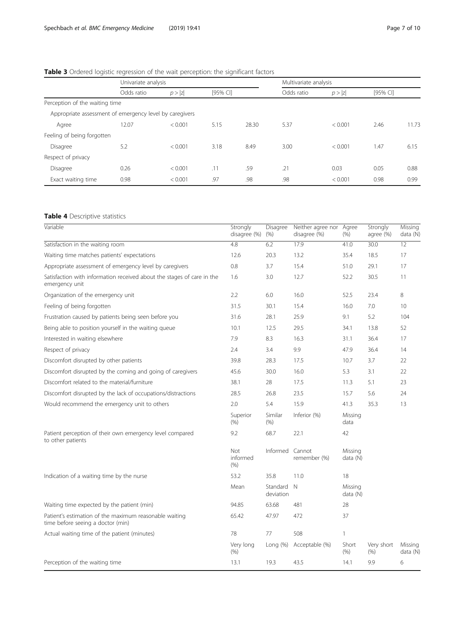<span id="page-6-0"></span>

| <b>Table 3</b> Ordered logistic regression of the wait perception: the significant factors |  |  |  |
|--------------------------------------------------------------------------------------------|--|--|--|
|                                                                                            |  |  |  |

|                                                         | Univariate analysis |         |          | Multivariate analysis |            |         |          |       |
|---------------------------------------------------------|---------------------|---------|----------|-----------------------|------------|---------|----------|-------|
|                                                         | Odds ratio          | p >  z  | [95% CI] |                       | Odds ratio | p >  z  | [95% CI] |       |
| Perception of the waiting time                          |                     |         |          |                       |            |         |          |       |
| Appropriate assessment of emergency level by caregivers |                     |         |          |                       |            |         |          |       |
| Agree                                                   | 12.07               | < 0.001 | 5.15     | 28.30                 | 5.37       | < 0.001 | 2.46     | 11.73 |
| Feeling of being forgotten                              |                     |         |          |                       |            |         |          |       |
| Disagree                                                | 5.2                 | < 0.001 | 3.18     | 8.49                  | 3.00       | < 0.001 | 1.47     | 6.15  |
| Respect of privacy                                      |                     |         |          |                       |            |         |          |       |
| Disagree                                                | 0.26                | < 0.001 | .11      | .59                   | .21        | 0.03    | 0.05     | 0.88  |
| Exact waiting time                                      | 0.98                | < 0.001 | .97      | .98                   | .98        | < 0.001 | 0.98     | 0.99  |

# Table 4 Descriptive statistics

| Variable                                                                                    | Strongly<br>disagree (%) | Disagree<br>(% )      | Neither agree nor<br>disagree (%) | Agree<br>(% )       | Strongly<br>agree (%) | Missing<br>data (N) |
|---------------------------------------------------------------------------------------------|--------------------------|-----------------------|-----------------------------------|---------------------|-----------------------|---------------------|
| Satisfaction in the waiting room                                                            | 4.8                      | 6.2                   | 17.9                              | 41.0                | 30.0                  | 12                  |
| Waiting time matches patients' expectations                                                 | 12.6                     | 20.3                  | 13.2                              | 35.4                | 18.5                  | 17                  |
| Appropriate assessment of emergency level by caregivers                                     | 0.8                      | 3.7                   | 15.4                              | 51.0                | 29.1                  | 17                  |
| Satisfaction with information received about the stages of care in the<br>emergency unit    | 1.6                      | 3.0                   | 12.7                              | 52.2                | 30.5                  | 11                  |
| Organization of the emergency unit                                                          | 2.2                      | 6.0                   | 16.0                              | 52.5                | 23.4                  | 8                   |
| Feeling of being forgotten                                                                  | 31.5                     | 30.1                  | 15.4                              | 16.0                | 7.0                   | 10                  |
| Frustration caused by patients being seen before you                                        | 31.6                     | 28.1                  | 25.9                              | 9.1                 | 5.2                   | 104                 |
| Being able to position yourself in the waiting queue                                        | 10.1                     | 12.5                  | 29.5                              | 34.1                | 13.8                  | 52                  |
| Interested in waiting elsewhere                                                             | 7.9                      | 8.3                   | 16.3                              | 31.1                | 36.4                  | 17                  |
| Respect of privacy                                                                          | 2.4                      | 3.4                   | 9.9                               | 47.9                | 36.4                  | 14                  |
| Discomfort disrupted by other patients                                                      | 39.8                     | 28.3                  | 17.5                              | 10.7                | 3.7                   | 22                  |
| Discomfort disrupted by the coming and going of caregivers                                  | 45.6                     | 30.0                  | 16.0                              | 5.3                 | 3.1                   | 22                  |
| Discomfort related to the material/furniture                                                | 38.1                     | 28                    | 17.5                              | 11.3                | 5.1                   | 23                  |
| Discomfort disrupted by the lack of occupations/distractions                                | 28.5                     | 26.8                  | 23.5                              | 15.7                | 5.6                   | 24                  |
| Would recommend the emergency unit to others                                                | 2.0                      | 5.4                   | 15.9                              | 41.3                | 35.3                  | 13                  |
|                                                                                             | Superior<br>(% )         | Similar<br>(% )       | Inferior (%)                      | Missing<br>data     |                       |                     |
| Patient perception of their own emergency level compared<br>to other patients               | 9.2                      | 68.7                  | 22.1                              | 42                  |                       |                     |
|                                                                                             | Not<br>informed<br>(% )  | Informed              | Cannot<br>remember (%)            | Missing<br>data (N) |                       |                     |
| Indication of a waiting time by the nurse                                                   | 53.2                     | 35.8                  | 11.0                              | 18                  |                       |                     |
|                                                                                             | Mean                     | Standard<br>deviation | $\mathbb N$                       | Missing<br>data (N) |                       |                     |
| Waiting time expected by the patient (min)                                                  | 94.85                    | 63.68                 | 481                               | 28                  |                       |                     |
| Patient's estimation of the maximum reasonable waiting<br>time before seeing a doctor (min) | 65.42                    | 47.97                 | 472                               | 37                  |                       |                     |
| Actual waiting time of the patient (minutes)                                                | 78                       | 77                    | 508                               | 1                   |                       |                     |
|                                                                                             | Very long<br>(% )        | Long (%)              | Acceptable (%)                    | Short<br>$(\% )$    | Very short<br>(% )    | Missing<br>data (N) |
| Perception of the waiting time                                                              | 13.1                     | 19.3                  | 43.5                              | 14.1                | 9.9                   | 6                   |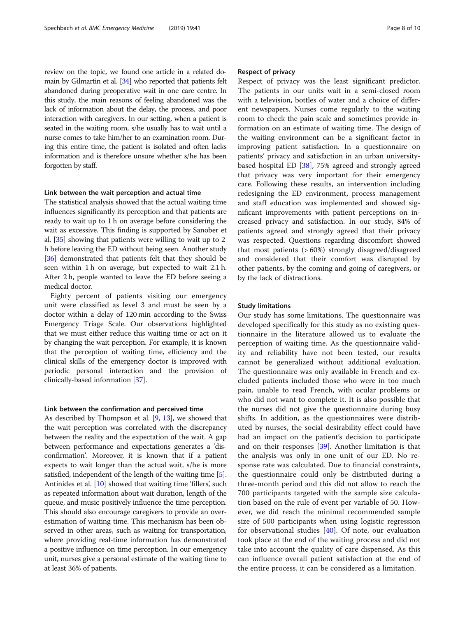review on the topic, we found one article in a related domain by Gilmartin et al. [\[34\]](#page-9-0) who reported that patients felt abandoned during preoperative wait in one care centre. In this study, the main reasons of feeling abandoned was the lack of information about the delay, the process, and poor interaction with caregivers. In our setting, when a patient is seated in the waiting room, s/he usually has to wait until a nurse comes to take him/her to an examination room. During this entire time, the patient is isolated and often lacks information and is therefore unsure whether s/he has been forgotten by staff.

# Link between the wait perception and actual time

The statistical analysis showed that the actual waiting time influences significantly its perception and that patients are ready to wait up to 1 h on average before considering the wait as excessive. This finding is supported by Sanober et al. [[35](#page-9-0)] showing that patients were willing to wait up to 2 h before leaving the ED without being seen. Another study [[36](#page-9-0)] demonstrated that patients felt that they should be seen within 1 h on average, but expected to wait 2.1 h. After 2 h, people wanted to leave the ED before seeing a medical doctor.

Eighty percent of patients visiting our emergency unit were classified as level 3 and must be seen by a doctor within a delay of 120 min according to the Swiss Emergency Triage Scale. Our observations highlighted that we must either reduce this waiting time or act on it by changing the wait perception. For example, it is known that the perception of waiting time, efficiency and the clinical skills of the emergency doctor is improved with periodic personal interaction and the provision of clinically-based information [\[37](#page-9-0)].

#### Link between the confirmation and perceived time

As described by Thompson et al. [\[9](#page-8-0), [13](#page-8-0)], we showed that the wait perception was correlated with the discrepancy between the reality and the expectation of the wait. A gap between performance and expectations generates a 'disconfirmation'. Moreover, it is known that if a patient expects to wait longer than the actual wait, s/he is more satisfied, independent of the length of the waiting time [[5](#page-8-0)]. Antinides et al. [\[10](#page-8-0)] showed that waiting time 'fillers', such as repeated information about wait duration, length of the queue, and music positively influence the time perception. This should also encourage caregivers to provide an overestimation of waiting time. This mechanism has been observed in other areas, such as waiting for transportation, where providing real-time information has demonstrated a positive influence on time perception. In our emergency unit, nurses give a personal estimate of the waiting time to at least 36% of patients.

# Respect of privacy

Respect of privacy was the least significant predictor. The patients in our units wait in a semi-closed room with a television, bottles of water and a choice of different newspapers. Nurses come regularly to the waiting room to check the pain scale and sometimes provide information on an estimate of waiting time. The design of the waiting environment can be a significant factor in improving patient satisfaction. In a questionnaire on patients' privacy and satisfaction in an urban universitybased hospital ED [[38\]](#page-9-0), 75% agreed and strongly agreed that privacy was very important for their emergency care. Following these results, an intervention including redesigning the ED environment, process management and staff education was implemented and showed significant improvements with patient perceptions on increased privacy and satisfaction. In our study, 84% of patients agreed and strongly agreed that their privacy was respected. Questions regarding discomfort showed that most patients (> 60%) strongly disagreed/disagreed and considered that their comfort was disrupted by other patients, by the coming and going of caregivers, or by the lack of distractions.

#### Study limitations

Our study has some limitations. The questionnaire was developed specifically for this study as no existing questionnaire in the literature allowed us to evaluate the perception of waiting time. As the questionnaire validity and reliability have not been tested, our results cannot be generalized without additional evaluation. The questionnaire was only available in French and excluded patients included those who were in too much pain, unable to read French, with ocular problems or who did not want to complete it. It is also possible that the nurses did not give the questionnaire during busy shifts. In addition, as the questionnaires were distributed by nurses, the social desirability effect could have had an impact on the patient's decision to participate and on their responses [\[39](#page-9-0)]. Another limitation is that the analysis was only in one unit of our ED. No response rate was calculated. Due to financial constraints, the questionnaire could only be distributed during a three-month period and this did not allow to reach the 700 participants targeted with the sample size calculation based on the rule of event per variable of 50. However, we did reach the minimal recommended sample size of 500 participants when using logistic regression for observational studies [\[40](#page-9-0)]. Of note, our evaluation took place at the end of the waiting process and did not take into account the quality of care dispensed. As this can influence overall patient satisfaction at the end of the entire process, it can be considered as a limitation.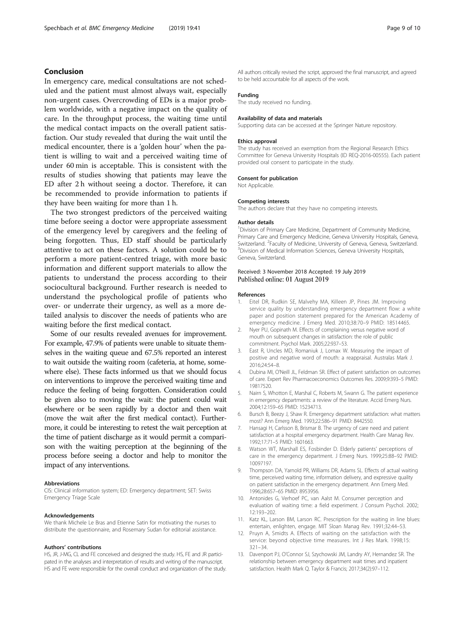# <span id="page-8-0"></span>Conclusion

In emergency care, medical consultations are not scheduled and the patient must almost always wait, especially non-urgent cases. Overcrowding of EDs is a major problem worldwide, with a negative impact on the quality of care. In the throughput process, the waiting time until the medical contact impacts on the overall patient satisfaction. Our study revealed that during the wait until the medical encounter, there is a 'golden hour' when the patient is willing to wait and a perceived waiting time of under 60 min is acceptable. This is consistent with the results of studies showing that patients may leave the ED after 2 h without seeing a doctor. Therefore, it can be recommended to provide information to patients if they have been waiting for more than 1 h.

The two strongest predictors of the perceived waiting time before seeing a doctor were appropriate assessment of the emergency level by caregivers and the feeling of being forgotten. Thus, ED staff should be particularly attentive to act on these factors. A solution could be to perform a more patient-centred triage, with more basic information and different support materials to allow the patients to understand the process according to their sociocultural background. Further research is needed to understand the psychological profile of patients who over- or underrate their urgency, as well as a more detailed analysis to discover the needs of patients who are waiting before the first medical contact.

Some of our results revealed avenues for improvement. For example, 47.9% of patients were unable to situate themselves in the waiting queue and 67.5% reported an interest to wait outside the waiting room (cafeteria, at home, somewhere else). These facts informed us that we should focus on interventions to improve the perceived waiting time and reduce the feeling of being forgotten. Consideration could be given also to moving the wait: the patient could wait elsewhere or be seen rapidly by a doctor and then wait (move the wait after the first medical contact). Furthermore, it could be interesting to retest the wait perception at the time of patient discharge as it would permit a comparison with the waiting perception at the beginning of the process before seeing a doctor and help to monitor the impact of any interventions.

#### Abbreviations

CIS: Clinical information system; ED: Emergency department; SET: Swiss Emergency Triage Scale

#### Acknowledgements

We thank Michele Le Bras and Etienne Satin for motivating the nurses to distribute the questionnaire, and Rosemary Sudan for editorial assistance.

#### Authors' contributions

HS, JR, J-MG, CL and FE conceived and designed the study. HS, FE and JR participated in the analyses and interpretation of results and writing of the manuscript. HS and FE were responsible for the overall conduct and organization of the study. All authors critically revised the script, approved the final manuscript, and agreed to be held accountable for all aspects of the work.

#### Funding

The study received no funding.

#### Availability of data and materials

Supporting data can be accessed at the Springer Nature repository.

#### Ethics approval

The study has received an exemption from the Regional Research Ethics Committee for Geneva University Hospitals (ID REQ-2016-00555). Each patient provided oral consent to participate in the study.

#### Consent for publication

Not Applicable.

#### Competing interests

The authors declare that they have no competing interests.

#### Author details

<sup>1</sup> Division of Primary Care Medicine, Department of Community Medicine Primary Care and Emergency Medicine, Geneva University Hospitals, Geneva, Switzerland. <sup>2</sup> Faculty of Medicine, University of Geneva, Geneva, Switzerland.<br><sup>3</sup> Division of Medical Information Sciences, Geneva, University Hospitals. <sup>3</sup> Division of Medical Information Sciences, Geneva University Hospitals, Geneva, Switzerland.

## Received: 3 November 2018 Accepted: 19 July 2019 Published online: 01 August 2019

#### References

- 1. Eitel DR, Rudkin SE, Malvehy MA, Killeen JP, Pines JM. Improving service quality by understanding emergency department flow: a white paper and position statement prepared for the American Academy of emergency medicine. J Emerg Med. 2010;38:70–9 PMID: 18514465.
- 2. Nyer PU, Gopinath M. Effects of complaining versus negative word of mouth on subsequent changes in satisfaction: the role of public commitment. Psychol Mark. 2005;22:937–53.
- 3. East R, Uncles MD, Romaniuk J, Lomax W. Measuring the impact of positive and negative word of mouth: a reappraisal. Australas Mark J. 2016;24:54–8.
- 4. Dubina MI, O'Neill JL, Feldman SR. Effect of patient satisfaction on outcomes of care. Expert Rev Pharmacoeconomics Outcomes Res. 2009;9:393–5 PMID: 19817520.
- 5. Nairn S, Whotton E, Marshal C, Roberts M, Swann G. The patient experience in emergency departments: a review of the literature. Accid Emerg Nurs. 2004;12:159–65 PMID: 15234713.
- 6. Bursch B, Beezy J, Shaw R. Emergency department satisfaction: what matters most? Ann Emerg Med. 1993;22:586–91 PMID: 8442550.
- 7. Hansagi H, Carlsson B, Brismar B. The urgency of care need and patient satisfaction at a hospital emergency department. Health Care Manag Rev. 1992;17:71–5 PMID: 1601663.
- 8. Watson WT, Marshall ES, Fosbinder D. Elderly patients' perceptions of care in the emergency department. J Emerg Nurs. 1999;25:88–92 PMID: 10097197.
- 9. Thompson DA, Yarnold PR, Williams DR, Adams SL. Effects of actual waiting time, perceived waiting time, information delivery, and expressive quality on patient satisfaction in the emergency department. Ann Emerg Med. 1996;28:657–65 PMID: 8953956.
- 10. Antonides G, Verhoef PC, van Aalst M. Consumer perception and evaluation of waiting time: a field experiment. J Consum Psychol. 2002; 12:193–202.
- 11. Katz KL, Larson BM, Larson RC. Prescription for the waiting in line blues: entertain, enlighten, engage. MIT Sloan Manag Rev. 1991;32:44–53.
- 12. Pruyn A, Smidts A. Effects of waiting on the satisfaction with the service: beyond objective time measures. Int J Res Mark. 1998;15: 321–34.
- 13. Davenport PJ, O'Connor SJ, Szychowski JM, Landry AY, Hernandez SR. The relationship between emergency department wait times and inpatient satisfaction. Health Mark Q. Taylor & Francis; 2017;34(2):97–112.